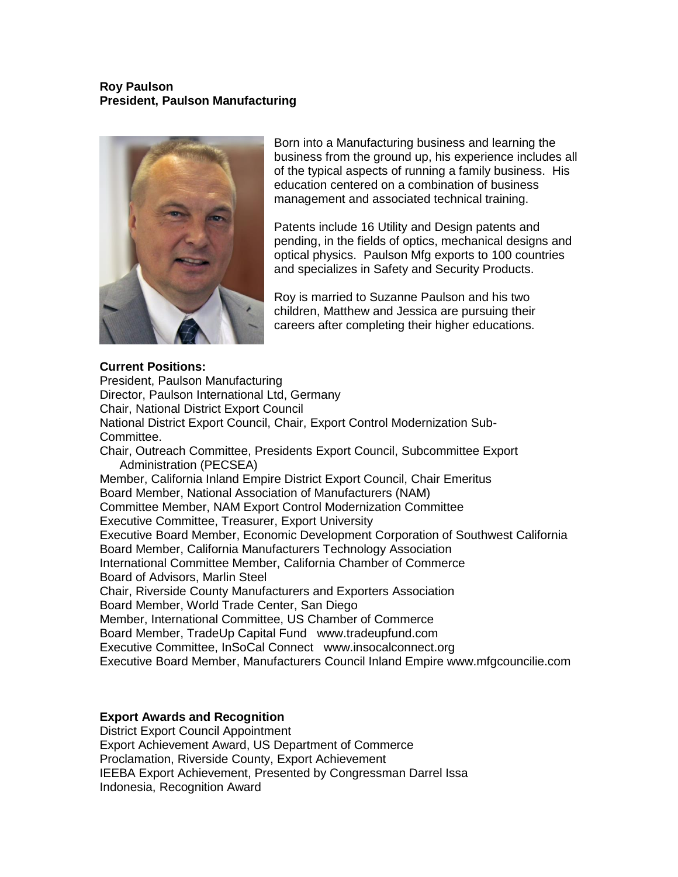# **Roy Paulson President, Paulson Manufacturing**



Born into a Manufacturing business and learning the business from the ground up, his experience includes all of the typical aspects of running a family business. His education centered on a combination of business management and associated technical training.

Patents include 16 Utility and Design patents and pending, in the fields of optics, mechanical designs and optical physics. Paulson Mfg exports to 100 countries and specializes in Safety and Security Products.

Roy is married to Suzanne Paulson and his two children, Matthew and Jessica are pursuing their careers after completing their higher educations.

# **Current Positions:**

President, Paulson Manufacturing Director, Paulson International Ltd, Germany Chair, National District Export Council National District Export Council, Chair, Export Control Modernization Sub-Committee. Chair, Outreach Committee, Presidents Export Council, Subcommittee Export Administration (PECSEA) Member, California Inland Empire District Export Council, Chair Emeritus Board Member, National Association of Manufacturers (NAM) Committee Member, NAM Export Control Modernization Committee Executive Committee, Treasurer, Export University Executive Board Member, Economic Development Corporation of Southwest California Board Member, California Manufacturers Technology Association International Committee Member, California Chamber of Commerce Board of Advisors, Marlin Steel Chair, Riverside County Manufacturers and Exporters Association Board Member, World Trade Center, San Diego Member, International Committee, US Chamber of Commerce Board Member, TradeUp Capital Fund www.tradeupfund.com Executive Committee, InSoCal Connect www.insocalconnect.org Executive Board Member, Manufacturers Council Inland Empire www.mfgcouncilie.com

# **Export Awards and Recognition**

District Export Council Appointment Export Achievement Award, US Department of Commerce Proclamation, Riverside County, Export Achievement IEEBA Export Achievement, Presented by Congressman Darrel Issa Indonesia, Recognition Award